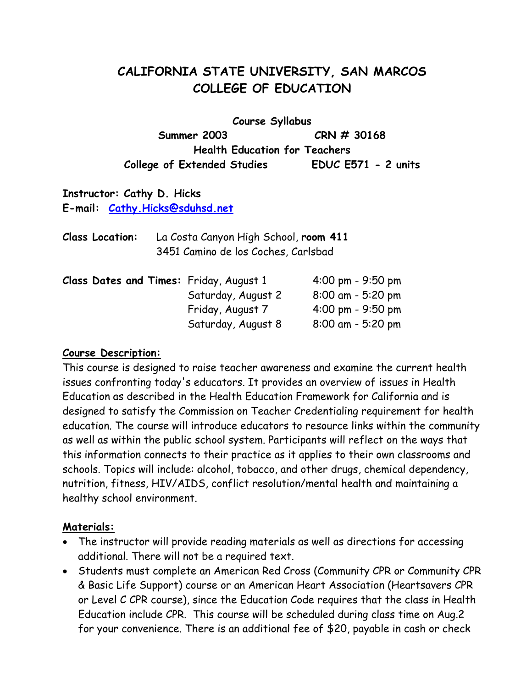## **CALIFORNIA STATE UNIVERSITY, SAN MARCOS COLLEGE OF EDUCATION**

**Course Syllabus Summer 2003 CRN # 30168 Health Education for Teachers College of Extended Studies EDUC E571 - 2 units** 

## **Instructor: Cathy D. Hicks E-mail: [Cathy.Hicks@sduhsd.net](mailto:Cathy.Hicks@sduhsd.net)**

| <b>Class Location:</b> | La Costa Canyon High School, room 411 |
|------------------------|---------------------------------------|
|                        | 3451 Camino de los Coches, Carlsbad   |

| Class Dates and Times: Friday, August 1 |  |                    | $4:00 \text{ pm} - 9:50 \text{ pm}$ |
|-----------------------------------------|--|--------------------|-------------------------------------|
|                                         |  | Saturday, August 2 | $8:00$ am - 5:20 pm                 |
|                                         |  | Friday, August 7   | $4:00 \text{ pm} - 9:50 \text{ pm}$ |
|                                         |  | Saturday, August 8 | $8:00$ am - 5:20 pm                 |

#### **Course Description:**

This course is designed to raise teacher awareness and examine the current health issues confronting today's educators. It provides an overview of issues in Health Education as described in the Health Education Framework for California and is designed to satisfy the Commission on Teacher Credentialing requirement for health education. The course will introduce educators to resource links within the community as well as within the public school system. Participants will reflect on the ways that this information connects to their practice as it applies to their own classrooms and schools. Topics will include: alcohol, tobacco, and other drugs, chemical dependency, nutrition, fitness, HIV/AIDS, conflict resolution/mental health and maintaining a healthy school environment.

#### **Materials:**

- The instructor will provide reading materials as well as directions for accessing additional. There will not be a required text.
- Students must complete an American Red Cross (Community CPR or Community CPR & Basic Life Support) course or an American Heart Association (Heartsavers CPR or Level C CPR course), since the Education Code requires that the class in Health Education include CPR. This course will be scheduled during class time on Aug.2 for your convenience. There is an additional fee of \$20, payable in cash or check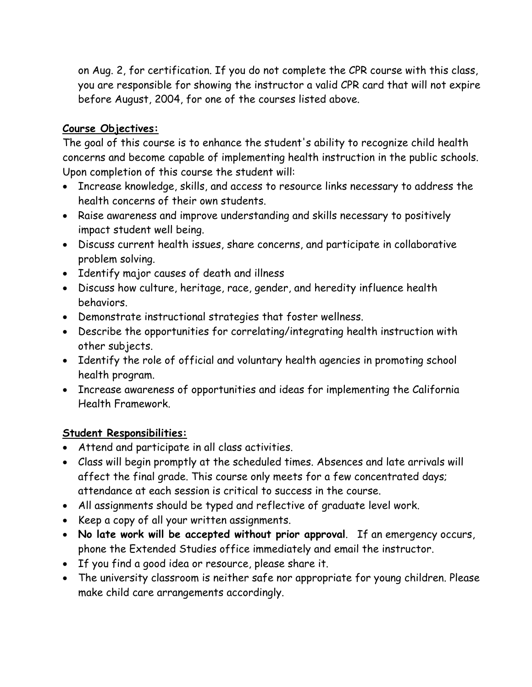on Aug. 2, for certification. If you do not complete the CPR course with this class, you are responsible for showing the instructor a valid CPR card that will not expire before August, 2004, for one of the courses listed above.

## **Course Objectives:**

The goal of this course is to enhance the student's ability to recognize child health concerns and become capable of implementing health instruction in the public schools. Upon completion of this course the student will:

- Increase knowledge, skills, and access to resource links necessary to address the health concerns of their own students.
- Raise awareness and improve understanding and skills necessary to positively impact student well being.
- Discuss current health issues, share concerns, and participate in collaborative problem solving.
- Identify major causes of death and illness
- Discuss how culture, heritage, race, gender, and heredity influence health behaviors.
- Demonstrate instructional strategies that foster wellness.
- Describe the opportunities for correlating/integrating health instruction with other subjects.
- Identify the role of official and voluntary health agencies in promoting school health program.
- Increase awareness of opportunities and ideas for implementing the California Health Framework.

## **Student Responsibilities:**

- Attend and participate in all class activities.
- Class will begin promptly at the scheduled times. Absences and late arrivals will affect the final grade. This course only meets for a few concentrated days; attendance at each session is critical to success in the course.
- All assignments should be typed and reflective of graduate level work.
- Keep a copy of all your written assignments.
- **No late work will be accepted without prior approval**. If an emergency occurs, phone the Extended Studies office immediately and email the instructor.
- If you find a good idea or resource, please share it.
- The university classroom is neither safe nor appropriate for young children. Please make child care arrangements accordingly.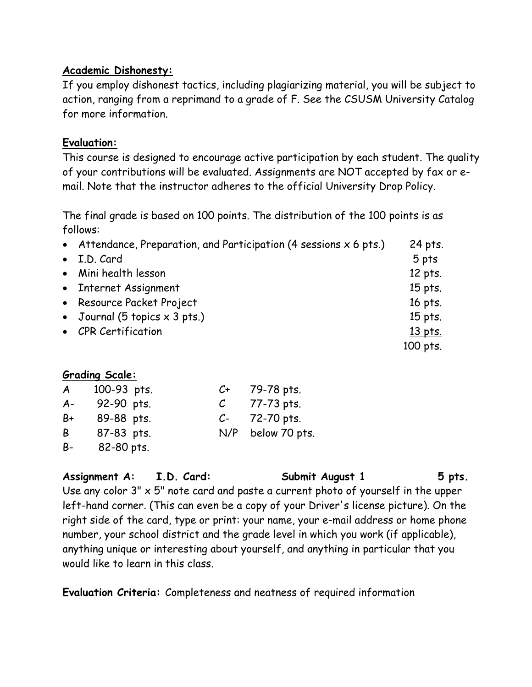#### **Academic Dishonesty:**

If you employ dishonest tactics, including plagiarizing material, you will be subject to action, ranging from a reprimand to a grade of F. See the CSUSM University Catalog for more information.

#### **Evaluation:**

This course is designed to encourage active participation by each student. The quality of your contributions will be evaluated. Assignments are NOT accepted by fax or email. Note that the instructor adheres to the official University Drop Policy.

The final grade is based on 100 points. The distribution of the 100 points is as follows:

| • Attendance, Preparation, and Participation (4 sessions $x$ 6 pts.) | 24 pts.  |
|----------------------------------------------------------------------|----------|
| • I.D. Card                                                          | 5 pts    |
| • Mini health lesson                                                 | 12 pts.  |
| • Internet Assignment                                                | 15 pts.  |
| • Resource Packet Project                                            | 16 pts.  |
| • Journal (5 topics $\times$ 3 pts.)                                 | 15 pts.  |
| • CPR Certification                                                  | 13 pts.  |
|                                                                      | 100 pts. |

## **Grading Scale:**

| A     | 100-93 pts. | $C+$ | 79-78 pts.    |
|-------|-------------|------|---------------|
| $A -$ | 92-90 pts.  |      | 77-73 pts.    |
| B+    | 89-88 pts.  | $C-$ | 72-70 pts.    |
| B     | 87-83 pts.  | N/P  | below 70 pts. |
| B-    | 82-80 pts.  |      |               |

**Assignment A: I.D. Card: Submit August 1 5 pts.** Use any color  $3'' \times 5''$  note card and paste a current photo of yourself in the upper left-hand corner. (This can even be a copy of your Driver's license picture). On the right side of the card, type or print: your name, your e-mail address or home phone

number, your school district and the grade level in which you work (if applicable), anything unique or interesting about yourself, and anything in particular that you would like to learn in this class.

**Evaluation Criteria:** Completeness and neatness of required information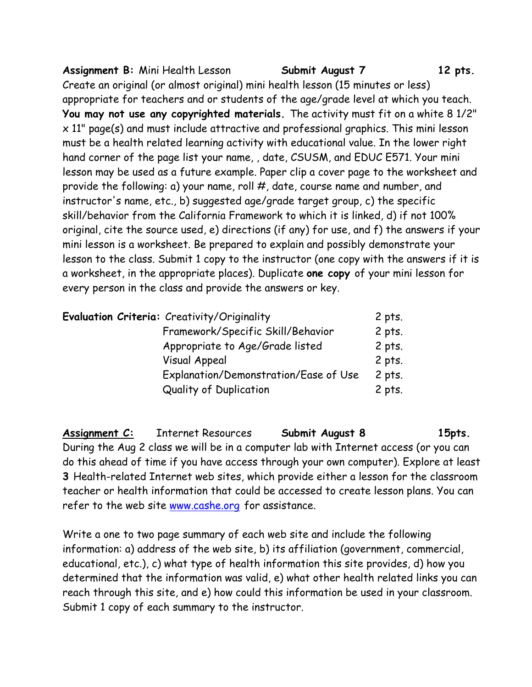Assignment B: Mini Health Lesson **Submit August 7** 12 pts. Create an original (or almost original) mini health lesson (15 minutes or less) appropriate for teachers and or students of the age/grade level at which you teach. **You may not use any copyrighted materials.** The activity must fit on a white 8 1/2" x 11" page(s) and must include attractive and professional graphics. This mini lesson must be a health related learning activity with educational value. In the lower right hand corner of the page list your name, , date, CSUSM, and EDUC E571. Your mini lesson may be used as a future example. Paper clip a cover page to the worksheet and provide the following: a) your name, roll #, date, course name and number, and instructor's name, etc., b) suggested age/grade target group, c) the specific skill/behavior from the California Framework to which it is linked, d) if not 100% original, cite the source used, e) directions (if any) for use, and f) the answers if your mini lesson is a worksheet. Be prepared to explain and possibly demonstrate your lesson to the class. Submit 1 copy to the instructor (one copy with the answers if it is a worksheet, in the appropriate places). Duplicate **one copy** of your mini lesson for every person in the class and provide the answers or key.

| Evaluation Criteria: Creativity/Originality | 2 pts.   |
|---------------------------------------------|----------|
| Framework/Specific Skill/Behavior           | $2$ pts. |
| Appropriate to Age/Grade listed             | 2 pts.   |
| <b>Visual Appeal</b>                        | $2$ pts. |
| Explanation/Demonstration/Ease of Use       | 2 pts.   |
| Quality of Duplication                      | 2 pts.   |

Assignment C: Internet Resources **Submit August 8 15pts.** During the Aug 2 class we will be in a computer lab with Internet access (or you can do this ahead of time if you have access through your own computer). Explore at least **3** Health-related Internet web sites, which provide either a lesson for the classroom teacher or health information that could be accessed to create lesson plans. You can refer to the web site [www.cashe.org](http://www.cashe.org/) for assistance.

Write a one to two page summary of each web site and include the following information: a) address of the web site, b) its affiliation (government, commercial, educational, etc.), c) what type of health information this site provides, d) how you determined that the information was valid, e) what other health related links you can reach through this site, and e) how could this information be used in your classroom. Submit 1 copy of each summary to the instructor.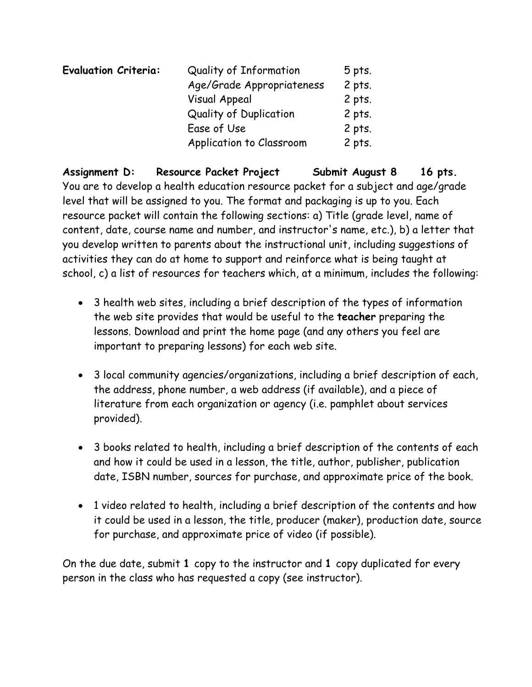| <b>Evaluation Criteria:</b> | Quality of Information    | 5 pts.   |
|-----------------------------|---------------------------|----------|
|                             | Age/Grade Appropriateness | $2$ pts. |
|                             | <b>Visual Appeal</b>      | $2$ pts. |
|                             | Quality of Duplication    | $2$ pts. |
|                             | Ease of Use               | 2 pts.   |
|                             | Application to Classroom  | 2 pts.   |

Assignment D: Resource Packet Project Submit August 8 16 pts. You are to develop a health education resource packet for a subject and age/grade level that will be assigned to you. The format and packaging is up to you. Each resource packet will contain the following sections: a) Title (grade level, name of content, date, course name and number, and instructor's name, etc.), b) a letter that you develop written to parents about the instructional unit, including suggestions of activities they can do at home to support and reinforce what is being taught at school, c) a list of resources for teachers which, at a minimum, includes the following:

- 3 health web sites, including a brief description of the types of information the web site provides that would be useful to the **teacher** preparing the lessons. Download and print the home page (and any others you feel are important to preparing lessons) for each web site.
- 3 local community agencies/organizations, including a brief description of each, the address, phone number, a web address (if available), and a piece of literature from each organization or agency (i.e. pamphlet about services provided).
- 3 books related to health, including a brief description of the contents of each and how it could be used in a lesson, the title, author, publisher, publication date, ISBN number, sources for purchase, and approximate price of the book.
- 1 video related to health, including a brief description of the contents and how it could be used in a lesson, the title, producer (maker), production date, source for purchase, and approximate price of video (if possible).

On the due date, submit **1** copy to the instructor and **1** copy duplicated for every person in the class who has requested a copy (see instructor).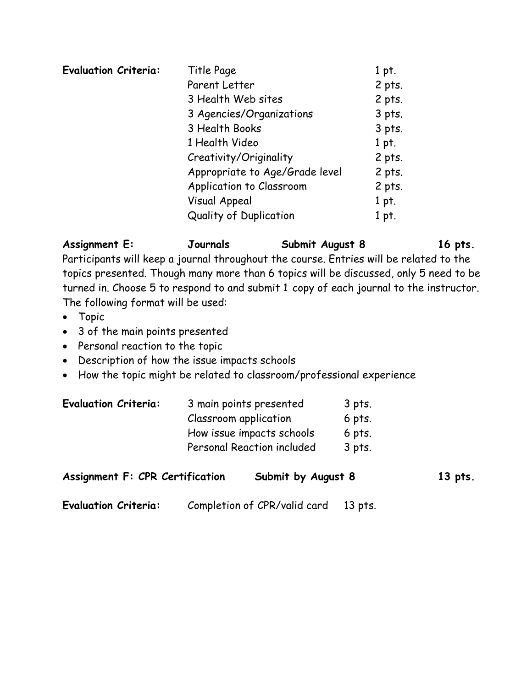| 1 pt.  |
|--------|
| 2 pts. |
| 2 pts. |
| 3 pts. |
| 3 pts. |
| 1 pt.  |
| 2 pts. |
| 2 pts. |
| 2 pts. |
| 1 pt.  |
| 1 pt.  |
|        |

Assignment E: **Journals** Submit August 8 16 pts. Participants will keep a journal throughout the course. Entries will be related to the topics presented. Though many more than 6 topics will be discussed, only 5 need to be turned in. Choose 5 to respond to and submit 1 copy of each journal to the instructor. The following format will be used:

- Topic
- 3 of the main points presented
- Personal reaction to the topic
- Description of how the issue impacts schools
- How the topic might be related to classroom/professional experience

| <b>Evaluation Criteria:</b> | 3 main points presented    | 3 pts. |
|-----------------------------|----------------------------|--------|
|                             | Classroom application      | 6 pts. |
|                             | How issue impacts schools  | 6 pts. |
|                             | Personal Reaction included | 3 pts. |

| <b>Assignment F: CPR Certification</b> |  | Submit by August 8           |         | 13 pts. |
|----------------------------------------|--|------------------------------|---------|---------|
| <b>Evaluation Criteria:</b>            |  | Completion of CPR/valid card | 13 pts. |         |